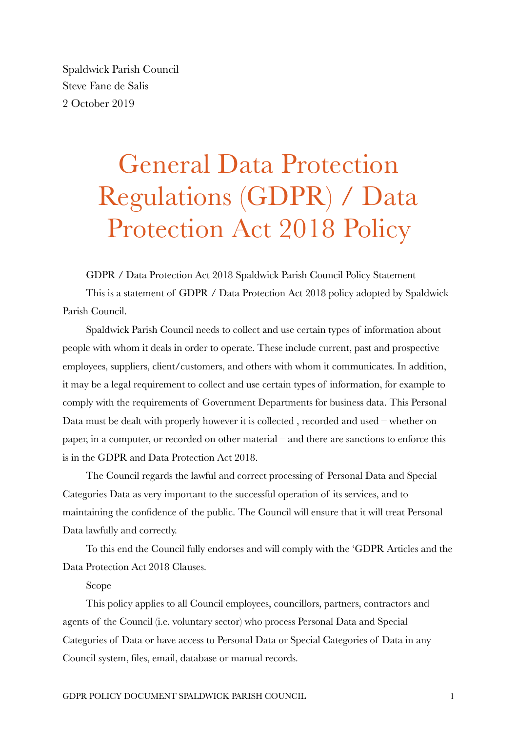Spaldwick Parish Council Steve Fane de Salis 2 October 2019

## General Data Protection Regulations (GDPR) / Data Protection Act 2018 Policy

GDPR / Data Protection Act 2018 Spaldwick Parish Council Policy Statement This is a statement of GDPR / Data Protection Act 2018 policy adopted by Spaldwick Parish Council.

Spaldwick Parish Council needs to collect and use certain types of information about people with whom it deals in order to operate. These include current, past and prospective employees, suppliers, client/customers, and others with whom it communicates. In addition, it may be a legal requirement to collect and use certain types of information, for example to comply with the requirements of Government Departments for business data. This Personal Data must be dealt with properly however it is collected , recorded and used – whether on paper, in a computer, or recorded on other material – and there are sanctions to enforce this is in the GDPR and Data Protection Act 2018.

The Council regards the lawful and correct processing of Personal Data and Special Categories Data as very important to the successful operation of its services, and to maintaining the confidence of the public. The Council will ensure that it will treat Personal Data lawfully and correctly.

To this end the Council fully endorses and will comply with the 'GDPR Articles and the Data Protection Act 2018 Clauses.

## Scope

This policy applies to all Council employees, councillors, partners, contractors and agents of the Council (i.e. voluntary sector) who process Personal Data and Special Categories of Data or have access to Personal Data or Special Categories of Data in any Council system, files, email, database or manual records.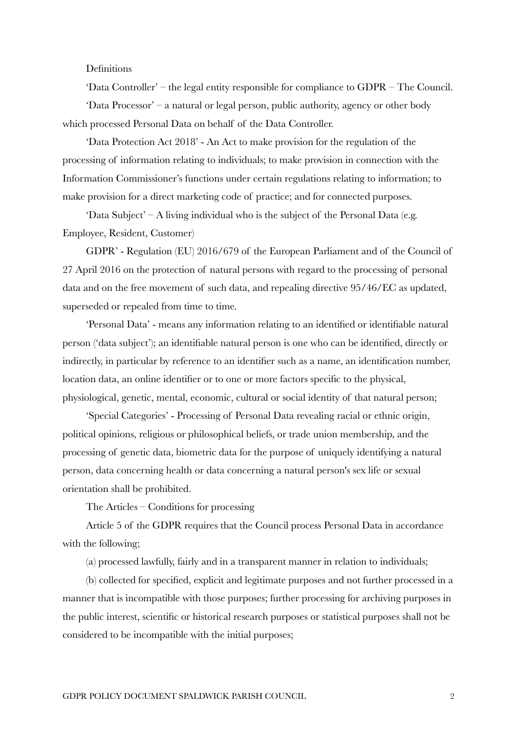## Definitions

'Data Controller' – the legal entity responsible for compliance to GDPR – The Council. 'Data Processor' – a natural or legal person, public authority, agency or other body which processed Personal Data on behalf of the Data Controller.

'Data Protection Act 2018' - An Act to make provision for the regulation of the processing of information relating to individuals; to make provision in connection with the Information Commissioner's functions under certain regulations relating to information; to make provision for a direct marketing code of practice; and for connected purposes.

'Data Subject' – A living individual who is the subject of the Personal Data (e.g. Employee, Resident, Customer)

GDPR' - Regulation (EU) 2016/679 of the European Parliament and of the Council of 27 April 2016 on the protection of natural persons with regard to the processing of personal data and on the free movement of such data, and repealing directive 95/46/EC as updated, superseded or repealed from time to time.

'Personal Data' - means any information relating to an identified or identifiable natural person ('data subject'); an identifiable natural person is one who can be identified, directly or indirectly, in particular by reference to an identifier such as a name, an identification number, location data, an online identifier or to one or more factors specific to the physical, physiological, genetic, mental, economic, cultural or social identity of that natural person;

'Special Categories' - Processing of Personal Data revealing racial or ethnic origin, political opinions, religious or philosophical beliefs, or trade union membership, and the processing of genetic data, biometric data for the purpose of uniquely identifying a natural person, data concerning health or data concerning a natural person's sex life or sexual orientation shall be prohibited.

The Articles – Conditions for processing

Article 5 of the GDPR requires that the Council process Personal Data in accordance with the following;

(a) processed lawfully, fairly and in a transparent manner in relation to individuals;

(b) collected for specified, explicit and legitimate purposes and not further processed in a manner that is incompatible with those purposes; further processing for archiving purposes in the public interest, scientific or historical research purposes or statistical purposes shall not be considered to be incompatible with the initial purposes;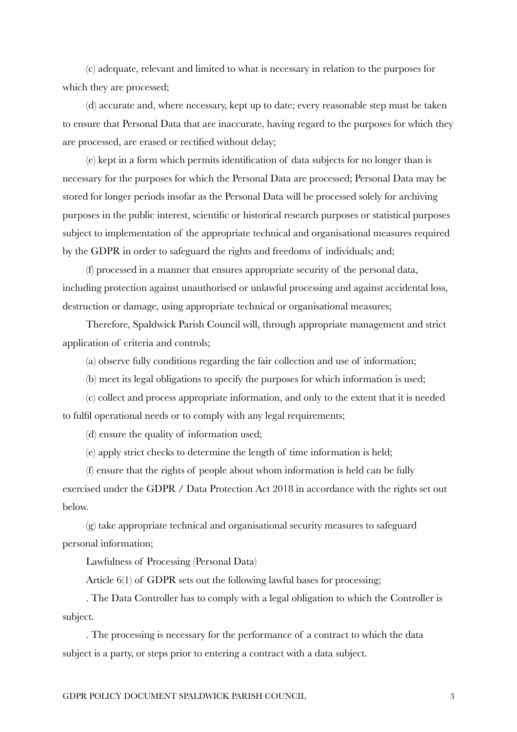(c) adequate, relevant and limited to what is necessary in relation to the purposes for which they are processed;

(d) accurate and, where necessary, kept up to date; every reasonable step must be taken to ensure that Personal Data that are inaccurate, having regard to the purposes for which they are processed, are erased or rectified without delay;

(e) kept in a form which permits identification of data subjects for no longer than is necessary for the purposes for which the Personal Data are processed; Personal Data may be stored for longer periods insofar as the Personal Data will be processed solely for archiving purposes in the public interest, scientific or historical research purposes or statistical purposes subject to implementation of the appropriate technical and organisational measures required by the GDPR in order to safeguard the rights and freedoms of individuals; and;

(f) processed in a manner that ensures appropriate security of the personal data, including protection against unauthorised or unlawful processing and against accidental loss, destruction or damage, using appropriate technical or organisational measures;

Therefore, Spaldwick Parish Council will, through appropriate management and strict application of criteria and controls;

(a) observe fully conditions regarding the fair collection and use of information;

(b) meet its legal obligations to specify the purposes for which information is used;

(c) collect and process appropriate information, and only to the extent that it is needed to fulfil operational needs or to comply with any legal requirements;

(d) ensure the quality of information used;

(e) apply strict checks to determine the length of time information is held;

(f) ensure that the rights of people about whom information is held can be fully exercised under the GDPR / Data Protection Act 2018 in accordance with the rights set out below.

(g) take appropriate technical and organisational security measures to safeguard personal information;

Lawfulness of Processing (Personal Data)

Article 6(1) of GDPR sets out the following lawful bases for processing;

. The Data Controller has to comply with a legal obligation to which the Controller is subject.

. The processing is necessary for the performance of a contract to which the data subject is a party, or steps prior to entering a contract with a data subject.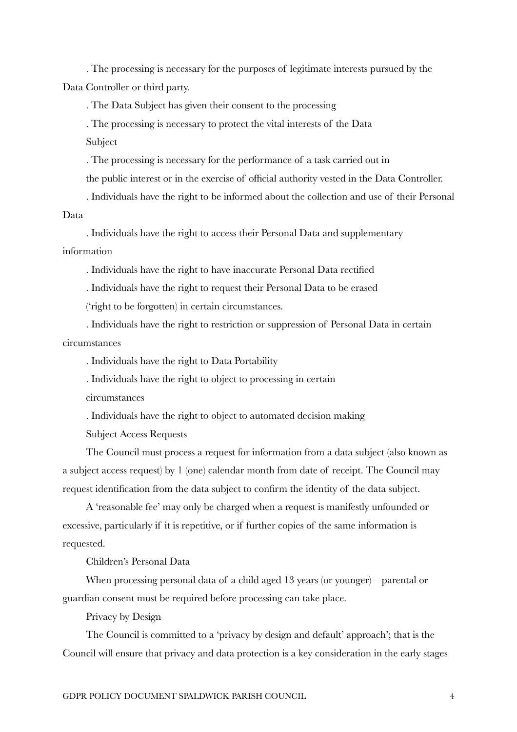. The processing is necessary for the purposes of legitimate interests pursued by the Data Controller or third party.

. The Data Subject has given their consent to the processing

. The processing is necessary to protect the vital interests of the Data

Subject

. The processing is necessary for the performance of a task carried out in

the public interest or in the exercise of official authority vested in the Data Controller.

. Individuals have the right to be informed about the collection and use of their Personal Data

. Individuals have the right to access their Personal Data and supplementary information

. Individuals have the right to have inaccurate Personal Data rectified

. Individuals have the right to request their Personal Data to be erased

('right to be forgotten) in certain circumstances.

. Individuals have the right to restriction or suppression of Personal Data in certain circumstances

. Individuals have the right to Data Portability

. Individuals have the right to object to processing in certain

circumstances

. Individuals have the right to object to automated decision making

Subject Access Requests

The Council must process a request for information from a data subject (also known as a subject access request) by 1 (one) calendar month from date of receipt. The Council may request identification from the data subject to confirm the identity of the data subject.

A 'reasonable fee' may only be charged when a request is manifestly unfounded or excessive, particularly if it is repetitive, or if further copies of the same information is requested.

Children's Personal Data

When processing personal data of a child aged 13 years (or younger) – parental or guardian consent must be required before processing can take place.

Privacy by Design

The Council is committed to a 'privacy by design and default' approach'; that is the Council will ensure that privacy and data protection is a key consideration in the early stages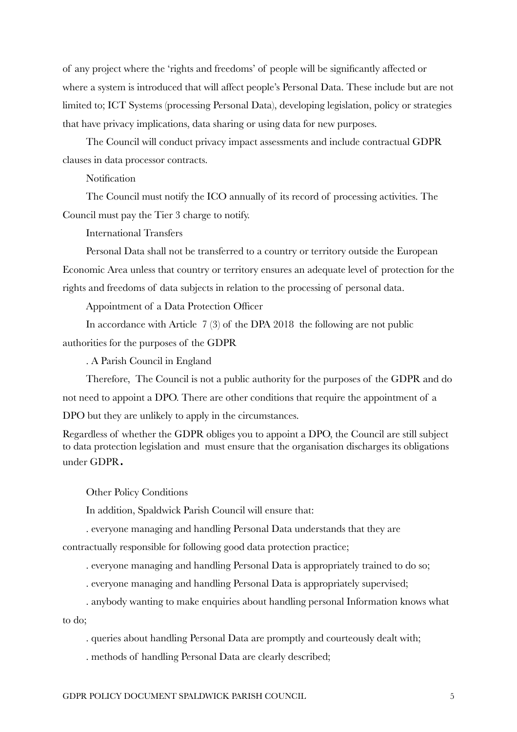of any project where the 'rights and freedoms' of people will be significantly affected or where a system is introduced that will affect people's Personal Data. These include but are not limited to; ICT Systems (processing Personal Data), developing legislation, policy or strategies that have privacy implications, data sharing or using data for new purposes.

The Council will conduct privacy impact assessments and include contractual GDPR clauses in data processor contracts.

**Notification** 

The Council must notify the ICO annually of its record of processing activities. The Council must pay the Tier 3 charge to notify.

International Transfers

Personal Data shall not be transferred to a country or territory outside the European Economic Area unless that country or territory ensures an adequate level of protection for the rights and freedoms of data subjects in relation to the processing of personal data.

Appointment of a Data Protection Officer

In accordance with Article 7 (3) of the DPA 2018 the following are not public authorities for the purposes of the GDPR

. A Parish Council in England

Therefore, The Council is not a public authority for the purposes of the GDPR and do not need to appoint a DPO. There are other conditions that require the appointment of a DPO but they are unlikely to apply in the circumstances.

Regardless of whether the GDPR obliges you to appoint a DPO, the Council are still subject to data protection legislation and must ensure that the organisation discharges its obligations under GDPR.

Other Policy Conditions

In addition, Spaldwick Parish Council will ensure that:

. everyone managing and handling Personal Data understands that they are contractually responsible for following good data protection practice;

. everyone managing and handling Personal Data is appropriately trained to do so;

. everyone managing and handling Personal Data is appropriately supervised;

. anybody wanting to make enquiries about handling personal Information knows what to do;

. queries about handling Personal Data are promptly and courteously dealt with;

. methods of handling Personal Data are clearly described;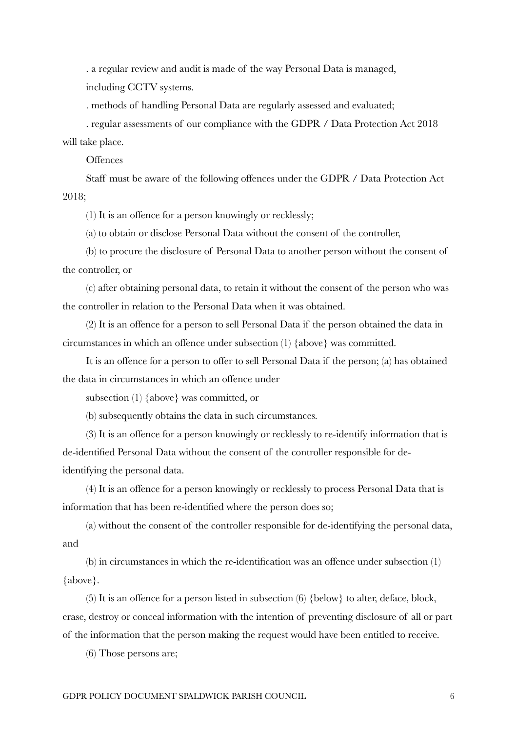. a regular review and audit is made of the way Personal Data is managed, including CCTV systems.

. methods of handling Personal Data are regularly assessed and evaluated;

. regular assessments of our compliance with the GDPR / Data Protection Act 2018 will take place.

**Offences** 

Staff must be aware of the following offences under the GDPR / Data Protection Act 2018;

(1) It is an offence for a person knowingly or recklessly;

(a) to obtain or disclose Personal Data without the consent of the controller,

(b) to procure the disclosure of Personal Data to another person without the consent of the controller, or

(c) after obtaining personal data, to retain it without the consent of the person who was the controller in relation to the Personal Data when it was obtained.

(2) It is an offence for a person to sell Personal Data if the person obtained the data in circumstances in which an offence under subsection (1) {above} was committed.

It is an offence for a person to offer to sell Personal Data if the person; (a) has obtained the data in circumstances in which an offence under

subsection (1) {above} was committed, or

(b) subsequently obtains the data in such circumstances.

(3) It is an offence for a person knowingly or recklessly to re-identify information that is de-identified Personal Data without the consent of the controller responsible for deidentifying the personal data.

(4) It is an offence for a person knowingly or recklessly to process Personal Data that is information that has been re-identified where the person does so;

(a) without the consent of the controller responsible for de-identifying the personal data, and

(b) in circumstances in which the re-identification was an offence under subsection (1) {above}.

(5) It is an offence for a person listed in subsection (6) {below} to alter, deface, block, erase, destroy or conceal information with the intention of preventing disclosure of all or part of the information that the person making the request would have been entitled to receive.

(6) Those persons are;